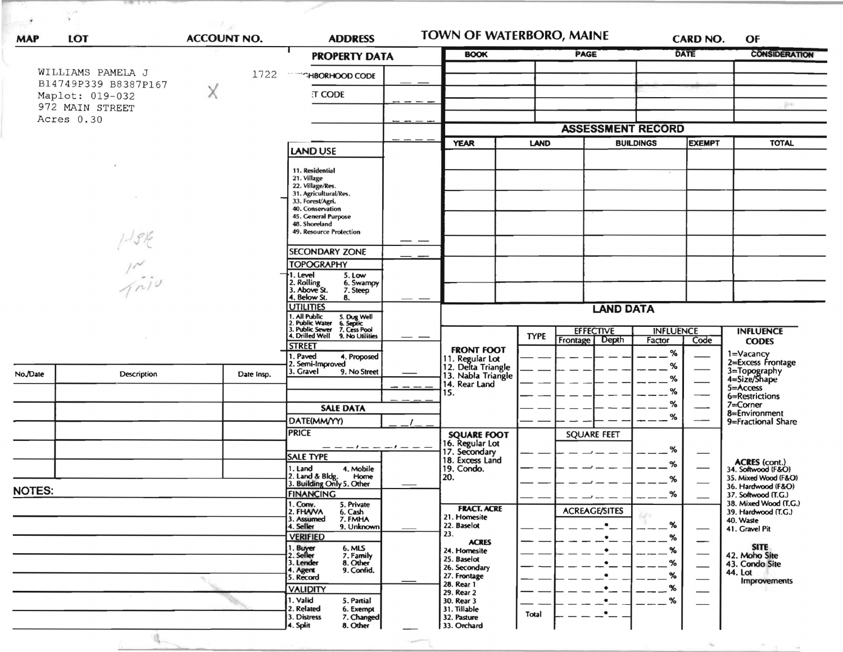| <b>MAP</b>                                                                    | <b>LOT</b>    | <b>ACCOUNT NO.</b> | <b>ADDRESS</b>                                                                                                                                         |                       | TOWN OF WATERBORO, MAINE                                    |                     |                                       |                            | CARD NO.      | OF                                           |
|-------------------------------------------------------------------------------|---------------|--------------------|--------------------------------------------------------------------------------------------------------------------------------------------------------|-----------------------|-------------------------------------------------------------|---------------------|---------------------------------------|----------------------------|---------------|----------------------------------------------|
|                                                                               |               |                    |                                                                                                                                                        | <b>PROPERTY DATA</b>  |                                                             | PAGE<br><b>BOOK</b> |                                       |                            | <b>DATE</b>   | <b>CONSIDERATION</b>                         |
| WILLIAMS PAMELA J<br>1722                                                     |               |                    |                                                                                                                                                        | <b>"HBORHOOD CODE</b> |                                                             |                     |                                       |                            |               |                                              |
| B14749P339 B8387P167<br>Χ<br>Maplot: 019-032<br>972 MAIN STREET<br>Acres 0.30 |               | :T CODE            |                                                                                                                                                        |                       |                                                             |                     |                                       |                            |               |                                              |
|                                                                               |               |                    |                                                                                                                                                        |                       |                                                             |                     |                                       |                            | gims)         |                                              |
|                                                                               |               |                    |                                                                                                                                                        |                       |                                                             |                     |                                       |                            |               |                                              |
|                                                                               |               |                    |                                                                                                                                                        |                       |                                                             |                     | <b>ASSESSMENT RECORD</b>              |                            |               |                                              |
|                                                                               |               |                    | LAND USE                                                                                                                                               |                       | <b>YEAR</b>                                                 |                     | <b>BUILDINGS</b><br>LAND              |                            | <b>EXEMPT</b> | <b>TOTAL</b>                                 |
|                                                                               |               |                    | 11. Residential                                                                                                                                        |                       |                                                             |                     |                                       |                            |               |                                              |
|                                                                               |               |                    | 21. Village<br>22. Village/Res.                                                                                                                        |                       |                                                             |                     |                                       |                            |               |                                              |
|                                                                               |               |                    | 31. Agricultural/Res.<br>33. Forest/Agri.                                                                                                              |                       |                                                             |                     |                                       |                            |               |                                              |
|                                                                               |               |                    | 40. Conservation<br>45. General Purpose                                                                                                                |                       |                                                             |                     |                                       |                            |               |                                              |
|                                                                               |               |                    | 48. Shoreland<br>49. Resource Protection                                                                                                               |                       |                                                             |                     |                                       |                            |               |                                              |
|                                                                               |               |                    | <b>SECONDARY ZONE</b>                                                                                                                                  |                       |                                                             |                     |                                       |                            |               |                                              |
|                                                                               |               |                    | <b>TOPOGRAPHY</b>                                                                                                                                      |                       |                                                             |                     |                                       |                            |               |                                              |
|                                                                               | $\frac{1}{2}$ |                    | 1. Level<br>5. Low                                                                                                                                     | 6. Swampy             |                                                             |                     |                                       |                            |               |                                              |
|                                                                               |               |                    | 2. Rolling<br>3. Above St.<br>7. Steep<br>4. Below St.<br>8.                                                                                           |                       |                                                             |                     |                                       |                            |               |                                              |
|                                                                               |               |                    | <b>UTILITIES</b>                                                                                                                                       |                       |                                                             |                     | <b>LAND DATA</b>                      |                            |               |                                              |
|                                                                               |               |                    | 1. All Public 5. Dug Well<br>1. All Public 5. Dug Well<br>2. Public Water 6. Septic<br>3. Public Sewer 7. Cess Pool<br>4. Drilled Well 9. No Utilities |                       |                                                             |                     |                                       |                            |               |                                              |
|                                                                               |               |                    | <b>STREET</b>                                                                                                                                          |                       |                                                             | <b>TYPE</b>         | <b>EFFECTIVE</b><br>Frontage<br>Depth | <b>INFLUENCE</b><br>Factor | Code          | <b>INFLUENCE</b><br><b>CODES</b>             |
|                                                                               |               |                    | . Paved                                                                                                                                                | 4. Proposed           | <b>FRONT FOOT</b>                                           |                     |                                       | %                          |               | 1=Vacancy<br>2=Excess Frontage               |
| No./Date                                                                      | Description   | Date Insp.         | 2. Semi-Improved<br>3. Gravel                                                                                                                          | 9. No Street          | 11. Regular Lot<br>12. Delta Triangle<br>13. Nabla Triangle |                     |                                       | %<br>%                     |               | 3=Topography<br>4=Size/Shape                 |
|                                                                               |               |                    |                                                                                                                                                        |                       | 14. Rear Land<br>15.                                        |                     |                                       | %                          |               | 5=Access                                     |
|                                                                               |               |                    | <b>SALE DATA</b>                                                                                                                                       |                       |                                                             |                     |                                       | %                          |               | 6=Restrictions<br>$7 = Correct$ Corner       |
|                                                                               |               |                    | DATE(MM/YY)                                                                                                                                            |                       |                                                             |                     |                                       | %                          |               | 8=Environment<br>9=Fractional Share          |
|                                                                               |               |                    | <b>PRICE</b>                                                                                                                                           |                       | <b>SQUARE FOOT</b>                                          |                     | <b>SQUARE FEET</b>                    |                            |               |                                              |
|                                                                               |               |                    | <b>SALE TYPE</b>                                                                                                                                       | $-1$ $-$<br>$-1$ $ -$ | 16. Regular Lot<br>17. Secondary                            |                     |                                       | %                          |               |                                              |
|                                                                               |               |                    | 1. Land                                                                                                                                                | 4. Mobile             | 18. Excess Land<br>19. Condo.                               |                     |                                       | %                          |               | ACRES (cont.)<br>34. Softwood (F&O)          |
|                                                                               |               |                    | 2. Land & Bldg.<br>3. Building Only 5. Other                                                                                                           | Home                  | 20.                                                         |                     |                                       | %                          |               | 35. Mixed Wood (F&O)<br>36. Hardwood (F&O)   |
| <b>NOTES:</b>                                                                 |               |                    | <b>FINANCING</b><br>1. Conv.<br>5. Private                                                                                                             |                       |                                                             |                     |                                       | $-$ %                      |               | 37. Softwood (T.G.)<br>38. Mixed Wood (T.G.) |
|                                                                               |               |                    | 2. FHAVA<br>6. Cash<br>7. FMHA<br>3. Assumed                                                                                                           |                       | <b>FRACT. ACRE</b><br>21. Homesite                          |                     | <b>ACREAGE/SITES</b>                  |                            |               | 39. Hardwood (T.G.)<br>40. Waste             |
|                                                                               |               |                    | 4. Seller                                                                                                                                              | 9. Unknown            | 22. Baselot<br>23.                                          |                     |                                       | $\%$                       |               | 41. Gravel Pit                               |
|                                                                               |               |                    | <b>VERIFIED</b>                                                                                                                                        |                       | <b>ACRES</b><br>24. Homesite                                |                     |                                       | %<br>%                     |               | <b>SITE</b>                                  |
|                                                                               |               |                    | 1. Buy <del>er</del><br>2. Seller<br>6. MLS<br>7. Family<br>3. Lender<br>8. Other                                                                      |                       | 25. Baselot<br>26. Secondary                                |                     |                                       | %                          |               | 42. Moho Site<br>43. Condo Site              |
|                                                                               |               |                    | 9. Confid.<br>4. Agent<br>5. Record                                                                                                                    |                       | 27. Frontage                                                |                     |                                       | %                          |               | 44. Lot<br><b>Improvements</b>               |
|                                                                               |               |                    | <b>VALIDITY</b>                                                                                                                                        |                       | 28. Rear 1<br>29. Rear 2                                    |                     |                                       | %                          |               |                                              |
|                                                                               |               |                    | 1. Valid<br>5. Partial<br>2. Related<br>6. Exempt                                                                                                      |                       | 30. Rear 3<br>31. Tillable                                  |                     | ٠                                     | %                          |               |                                              |
|                                                                               |               |                    | 3. Distress<br>4. Split<br>8. Other                                                                                                                    | 7. Changed            | 32. Pasture<br>33. Orchard                                  | Total               |                                       |                            |               |                                              |